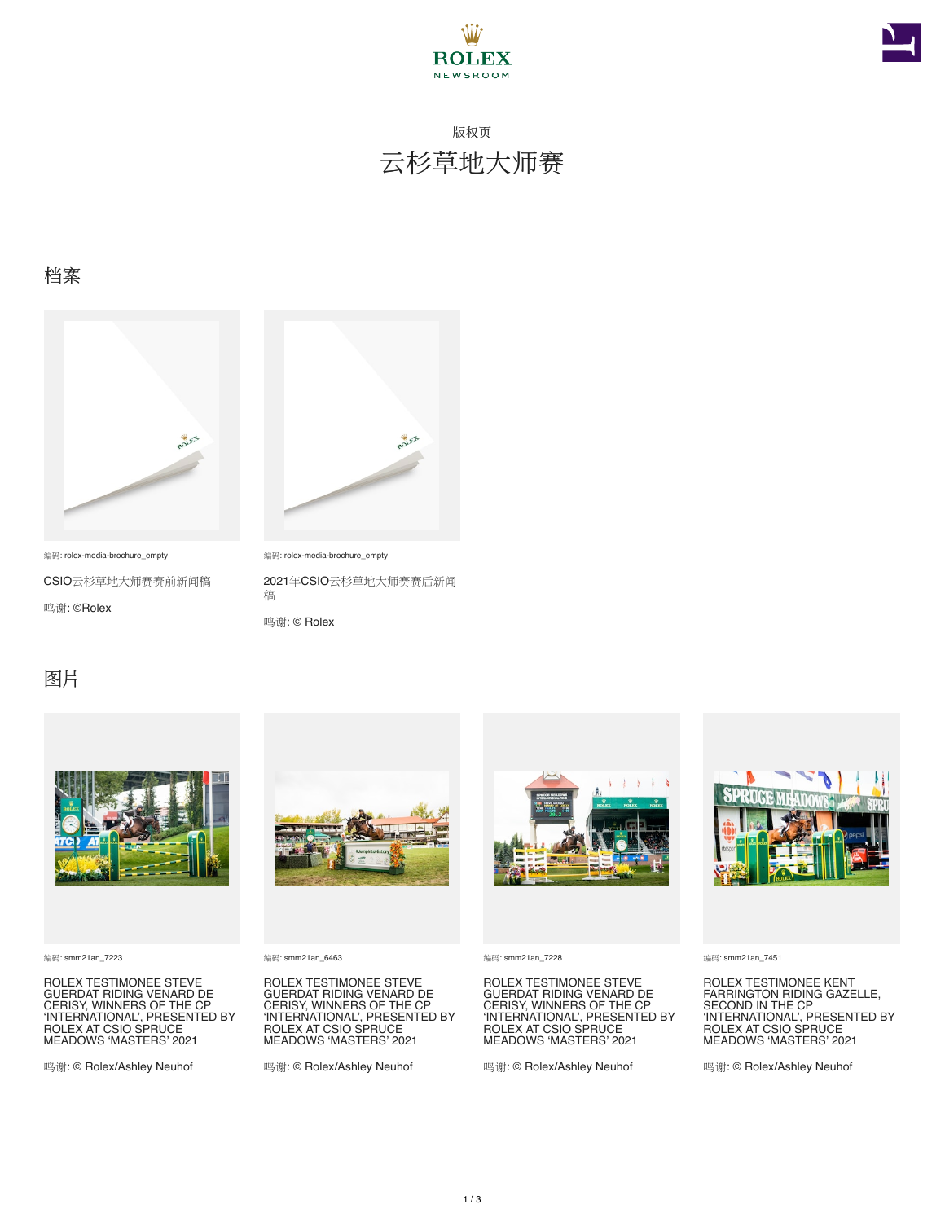



## 版权页 云杉草地大师赛

#### 档案



编码: rolex-media-brochure\_empty

CSIO云杉草地大师赛赛前新闻稿 鸣谢: ©Rolex



编码: rolex-media-brochure\_empty

2021年CSIO云杉草地大师赛赛后新闻 稿

鸣谢: © Rolex

#### 图片



编码: smm21an\_7223

ROLEX TESTIMONEE STEVE GUERDAT RIDING VENARD DE CERISY, WINNERS OF THE CP 'INTERNATIONAL', PRESENTED BY ROLEX AT CSIO SPRUCE MEADOWS 'MASTERS' 2021

鸣谢: © Rolex/Ashley Neuhof



编码: smm21an\_6463

ROLEX TESTIMONEE STEVE GUERDAT RIDING VENARD DE CERISY, WINNERS OF THE CP 'INTERNATIONAL', PRESENTED BY ROLEX AT CSIO SPRUCE MEADOWS 'MASTERS' 2021

鸣谢: © Rolex/Ashley Neuhof



编码: smm21an\_7228

ROLEX TESTIMONEE STEVE GUERDAT RIDING VENARD DE CERISY, WINNERS OF THE CP<br>'INTERNATIONAL', PRESENTED BY<br>ROLEX AT CSIO SPRUCE<br>MEADOWS 'MASTERS' 2021

鸣谢: © Rolex/Ashley Neuhof



编码: smm21an\_7451

ROLEX TESTIMONEE KENT FARRINGTON RIDING GAZELLE, SECOND IN THE CP<br>'INTERNATIONAL', PRESENTED BY<br>ROLEX AT CSIO SPRUCE<br>MEADOWS 'MASTERS' 2021

鸣谢: © Rolex/Ashley Neuhof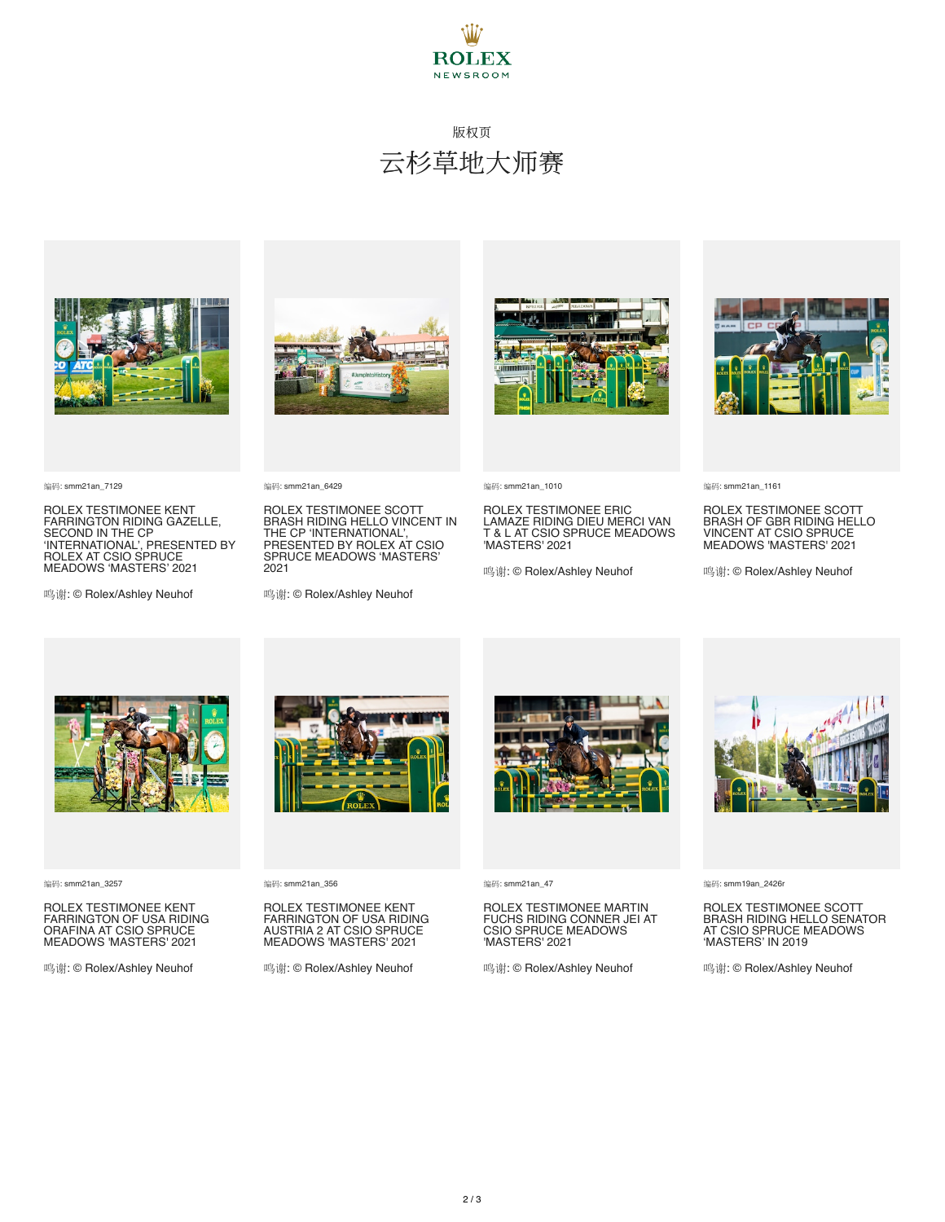

## 版权页 云杉草地大师赛



编码: smm21an\_7129

ROLEX TESTIMONEE KENT FARRINGTON RIDING GAZELLE, SECOND IN THE CP 'INTERNATIONAL', PRESENTED BY ROLEX AT CSIO SPRUCE MEADOWS 'MASTERS' 2021

鸣谢: © Rolex/Ashley Neuhof



编码: smm21an\_6429

ROLEX TESTIMONEE SCOTT BRASH RIDING HELLO VINCENT IN THE CP 'INTERNATIONAL', PRESENTED BY ROLEX AT CSIO SPRUCE MEADOWS 'MASTERS' 2021

鸣谢: © Rolex/Ashley Neuhof





ROLEX TESTIMONEE ERIC LAMAZE RIDING DIEU MERCI VAN T & L AT CSIO SPRUCE MEADOWS 'MASTERS' 2021

鸣谢: © Rolex/Ashley Neuhof



编码: smm21an\_1161

ROLEX TESTIMONEE SCOTT BRASH OF GBR RIDING HELLO VINCENT AT CSIO SPRUCE MEADOWS 'MASTERS' 2021

鸣谢: © Rolex/Ashley Neuhof



编码: smm21an\_3257

ROLEX TESTIMONEE KENT FARRINGTON OF USA RIDING ORAFINA AT CSIO SPRUCE MEADOWS 'MASTERS' 2021

鸣谢: © Rolex/Ashley Neuhof



编码: smm21an\_356

ROLEX TESTIMONEE KENT FARRINGTON OF USA RIDING AUSTRIA 2 AT CSIO SPRUCE MEADOWS 'MASTERS' 2021

鸣谢: © Rolex/Ashley Neuhof



编码: smm21an\_47

ROLEX TESTIMONEE MARTIN FUCHS RIDING CONNER JEI AT CSIO SPRUCE MEADOWS 'MASTERS' 2021

鸣谢: © Rolex/Ashley Neuhof



编码: smm19an\_2426r

ROLEX TESTIMONEE SCOTT BRASH RIDING HELLO SENATOR AT CSIO SPRUCE MEADOWS 'MASTERS' IN 2019

鸣谢: © Rolex/Ashley Neuhof